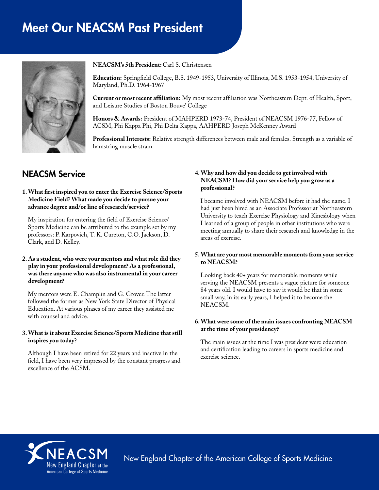# Meet Our NEACSM Past President



**NEACSM's 5th President:** Carl S. Christensen

**Education:** Springfield College, B.S. 1949-1953, University of Illinois, M.S. 1953-1954, University of Maryland, Ph.D. 1964-1967

**Current or most recent affiliation:** My most recent affiliation was Northeastern Dept. of Health, Sport, and Leisure Studies of Boston Bouve' College

**Honors & Awards:** President of MAHPERD 1973-74, President of NEACSM 1976-77, Fellow of ACSM, Phi Kappa Phi, Phi Delta Kappa, AAHPERD Joseph McKenney Award

**Professional Interests:** Relative strength differences between male and females. Strength as a variable of hamstring muscle strain.

# NEACSM Service

#### **1. What first inspired you to enter the Exercise Science/Sports Medicine Field? What made you decide to pursue your advance degree and/or line of research/service?**

My inspiration for entering the field of Exercise Science/ Sports Medicine can be attributed to the example set by my professors: P. Karpovich, T. K. Cureton, C.O. Jackson, D. Clark, and D. Kelley.

#### **2. As a student, who were your mentors and what role did they play in your professional development? As a professional, was there anyone who was also instrumental in your career development?**

My mentors were E. Champlin and G. Grover. The latter followed the former as New York State Director of Physical Education. At various phases of my career they assisted me with counsel and advice.

#### **3. What is it about Exercise Science/Sports Medicine that still inspires you today?**

Although I have been retired for 22 years and inactive in the field, I have been very impressed by the constant progress and excellence of the ACSM.

# **4. Why and how did you decide to get involved with NEACSM? How did your service help you grow as a professional?**

I became involved with NEACSM before it had the name. I had just been hired as an Associate Professor at Northeastern University to teach Exercise Physiology and Kinesiology when I learned of a group of people in other institutions who were meeting annually to share their research and knowledge in the areas of exercise.

#### **5. What are your most memorable moments from your service to NEACSM?**

Looking back 40+ years for memorable moments while serving the NEACSM presents a vague picture for someone 84 years old. I would have to say it would be that in some small way, in its early years, I helped it to become the NEACSM.

#### **6. What were some of the main issues confronting NEACSM at the time of your presidency?**

The main issues at the time I was president were education and certification leading to careers in sports medicine and exercise science.



New England Chapter of the American College of Sports Medicine